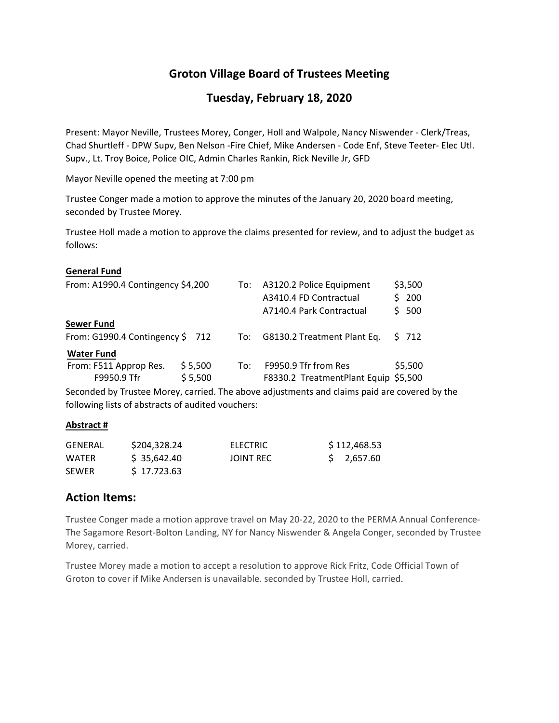# **Groton Village Board of Trustees Meeting**

# **Tuesday, February 18, 2020**

Present: Mayor Neville, Trustees Morey, Conger, Holl and Walpole, Nancy Niswender ‐ Clerk/Treas, Chad Shurtleff ‐ DPW Supv, Ben Nelson ‐Fire Chief, Mike Andersen ‐ Code Enf, Steve Teeter‐ Elec Utl. Supv., Lt. Troy Boice, Police OIC, Admin Charles Rankin, Rick Neville Jr, GFD

Mayor Neville opened the meeting at 7:00 pm

Trustee Conger made a motion to approve the minutes of the January 20, 2020 board meeting, seconded by Trustee Morey.

Trustee Holl made a motion to approve the claims presented for review, and to adjust the budget as follows:

#### **General Fund**

| From: A1990.4 Contingency \$4,200     |                    |     | To: A3120.2 Police Equipment<br>A3410.4 FD Contractual<br>A7140.4 Park Contractual | S. | \$3,500<br>200<br>500 |
|---------------------------------------|--------------------|-----|------------------------------------------------------------------------------------|----|-----------------------|
| <b>Sewer Fund</b>                     |                    |     |                                                                                    |    |                       |
| From: G1990.4 Contingency $$712$      |                    |     | To: G8130.2 Treatment Plant Eq.                                                    |    | \$ 712                |
| <b>Water Fund</b>                     |                    |     |                                                                                    |    |                       |
| From: F511 Approp Res.<br>F9950.9 Tfr | \$5,500<br>\$5,500 | To: | F9950.9 Tfr from Res<br>F8330.2 TreatmentPlant Equip \$5,500                       |    | \$5,500               |

Seconded by Trustee Morey, carried. The above adjustments and claims paid are covered by the following lists of abstracts of audited vouchers:

#### **Abstract #**

| <b>GENERAL</b> | \$204,328.24 | ELECTRIC  | \$112,468.53 |
|----------------|--------------|-----------|--------------|
| WATER          | \$35.642.40  | JOINT REC | \$ 2.657.60  |
| <b>SEWER</b>   | \$17.723.63  |           |              |

# **Action Items:**

Trustee Conger made a motion approve travel on May 20‐22, 2020 to the PERMA Annual Conference‐ The Sagamore Resort‐Bolton Landing, NY for Nancy Niswender & Angela Conger, seconded by Trustee Morey, carried.

Trustee Morey made a motion to accept a resolution to approve Rick Fritz, Code Official Town of Groton to cover if Mike Andersen is unavailable. seconded by Trustee Holl, carried.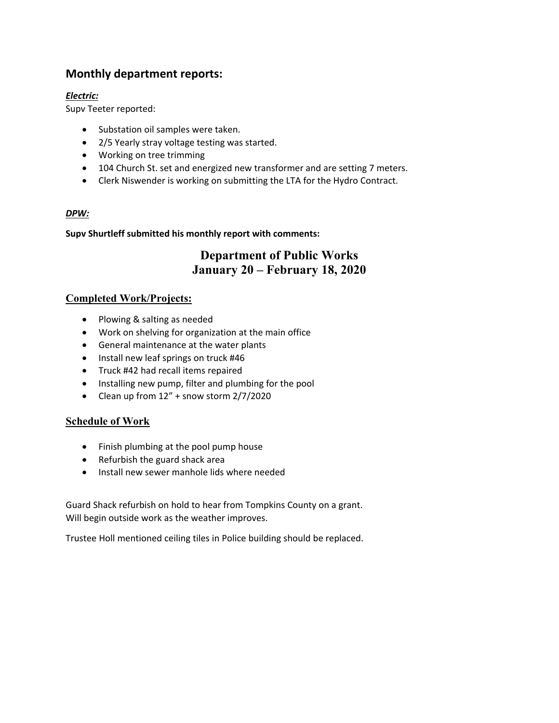# **Monthly department reports:**

# *Electric:*

Supv Teeter reported:

- Substation oil samples were taken.
- 2/5 Yearly stray voltage testing was started.
- Working on tree trimming
- 104 Church St. set and energized new transformer and are setting 7 meters.
- Clerk Niswender is working on submitting the LTA for the Hydro Contract.

## *DPW:*

## **Supv Shurtleff submitted his monthly report with comments:**

# **Department of Public Works January 20 – February 18, 2020**

# **Completed Work/Projects:**

- Plowing & salting as needed
- Work on shelving for organization at the main office
- General maintenance at the water plants
- Install new leaf springs on truck #46
- Truck #42 had recall items repaired
- Installing new pump, filter and plumbing for the pool
- Clean up from 12" + snow storm 2/7/2020

# **Schedule of Work**

- Finish plumbing at the pool pump house
- Refurbish the guard shack area
- Install new sewer manhole lids where needed

Guard Shack refurbish on hold to hear from Tompkins County on a grant. Will begin outside work as the weather improves.

Trustee Holl mentioned ceiling tiles in Police building should be replaced.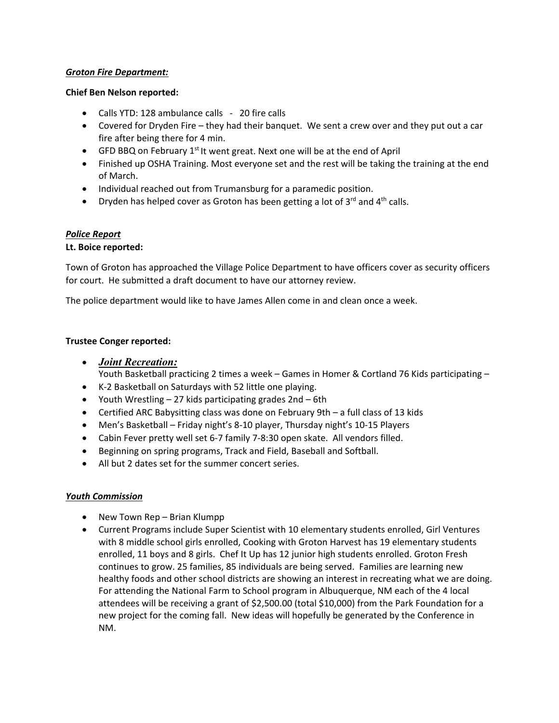#### *Groton Fire Department:*

#### **Chief Ben Nelson reported:**

- Calls YTD: 128 ambulance calls 20 fire calls
- Covered for Dryden Fire they had their banquet. We sent a crew over and they put out a car fire after being there for 4 min.
- GFD BBQ on February  $1<sup>st</sup>$  It went great. Next one will be at the end of April
- Finished up OSHA Training. Most everyone set and the rest will be taking the training at the end of March.
- Individual reached out from Trumansburg for a paramedic position.
- **•** Dryden has helped cover as Groton has been getting a lot of  $3^{rd}$  and  $4^{th}$  calls.

#### *Police Report*

#### **Lt. Boice reported:**

Town of Groton has approached the Village Police Department to have officers cover as security officers for court. He submitted a draft document to have our attorney review.

The police department would like to have James Allen come in and clean once a week.

#### **Trustee Conger reported:**

- *Joint Recreation:* Youth Basketball practicing 2 times a week – Games in Homer & Cortland 76 Kids participating –
- K‐2 Basketball on Saturdays with 52 little one playing.
- Youth Wrestling 27 kids participating grades 2nd 6th
- Certified ARC Babysitting class was done on February 9th a full class of 13 kids
- Men's Basketball Friday night's 8‐10 player, Thursday night's 10‐15 Players
- Cabin Fever pretty well set 6-7 family 7-8:30 open skate. All vendors filled.
- Beginning on spring programs, Track and Field, Baseball and Softball.
- All but 2 dates set for the summer concert series.

#### *Youth Commission*

- New Town Rep Brian Klumpp
- Current Programs include Super Scientist with 10 elementary students enrolled, Girl Ventures with 8 middle school girls enrolled, Cooking with Groton Harvest has 19 elementary students enrolled, 11 boys and 8 girls. Chef It Up has 12 junior high students enrolled. Groton Fresh continues to grow. 25 families, 85 individuals are being served. Families are learning new healthy foods and other school districts are showing an interest in recreating what we are doing. For attending the National Farm to School program in Albuquerque, NM each of the 4 local attendees will be receiving a grant of \$2,500.00 (total \$10,000) from the Park Foundation for a new project for the coming fall. New ideas will hopefully be generated by the Conference in NM.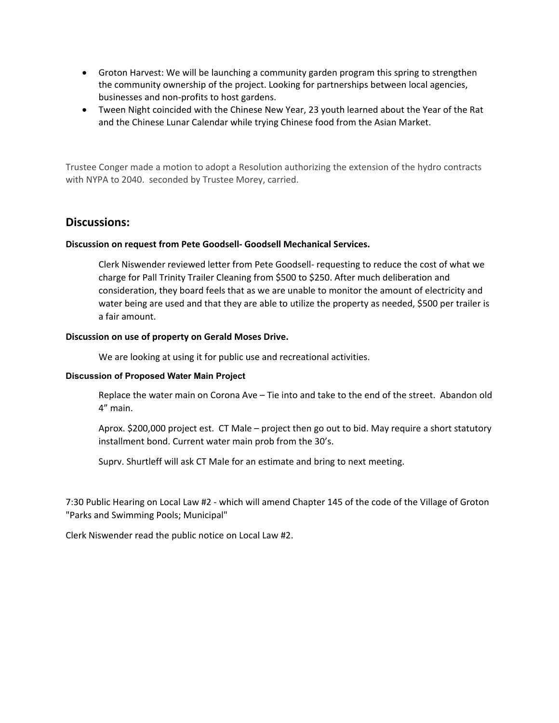- Groton Harvest: We will be launching a community garden program this spring to strengthen the community ownership of the project. Looking for partnerships between local agencies, businesses and non‐profits to host gardens.
- Tween Night coincided with the Chinese New Year, 23 youth learned about the Year of the Rat and the Chinese Lunar Calendar while trying Chinese food from the Asian Market.

Trustee Conger made a motion to adopt a Resolution authorizing the extension of the hydro contracts with NYPA to 2040. seconded by Trustee Morey, carried.

## **Discussions:**

#### **Discussion on request from Pete Goodsell‐ Goodsell Mechanical Services.**

Clerk Niswender reviewed letter from Pete Goodsell‐ requesting to reduce the cost of what we charge for Pall Trinity Trailer Cleaning from \$500 to \$250. After much deliberation and consideration, they board feels that as we are unable to monitor the amount of electricity and water being are used and that they are able to utilize the property as needed, \$500 per trailer is a fair amount.

#### **Discussion on use of property on Gerald Moses Drive.**

We are looking at using it for public use and recreational activities.

#### **Discussion of Proposed Water Main Project**

Replace the water main on Corona Ave – Tie into and take to the end of the street. Abandon old 4" main.

Aprox. \$200,000 project est. CT Male – project then go out to bid. May require a short statutory installment bond. Current water main prob from the 30's.

Suprv. Shurtleff will ask CT Male for an estimate and bring to next meeting.

7:30 Public Hearing on Local Law #2 ‐ which will amend Chapter 145 of the code of the Village of Groton "Parks and Swimming Pools; Municipal"

Clerk Niswender read the public notice on Local Law #2.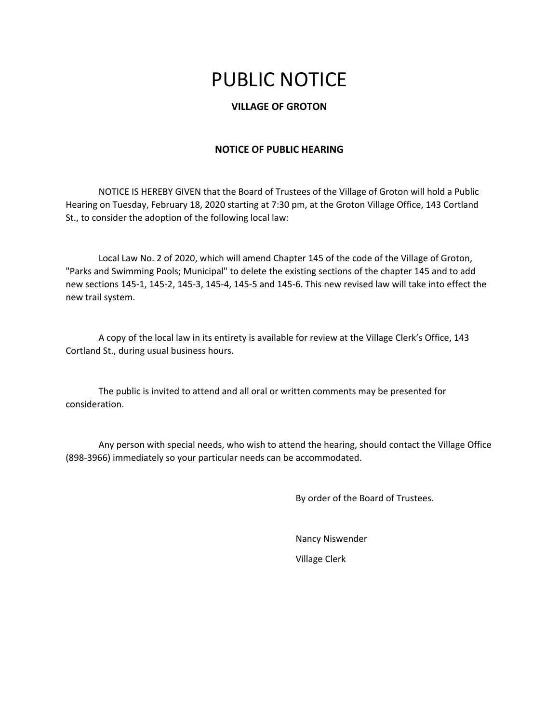# PUBLIC NOTICE

### **VILLAGE OF GROTON**

#### **NOTICE OF PUBLIC HEARING**

NOTICE IS HEREBY GIVEN that the Board of Trustees of the Village of Groton will hold a Public Hearing on Tuesday, February 18, 2020 starting at 7:30 pm, at the Groton Village Office, 143 Cortland St., to consider the adoption of the following local law:

Local Law No. 2 of 2020, which will amend Chapter 145 of the code of the Village of Groton, "Parks and Swimming Pools; Municipal" to delete the existing sections of the chapter 145 and to add new sections 145‐1, 145‐2, 145‐3, 145‐4, 145‐5 and 145‐6. This new revised law will take into effect the new trail system.

A copy of the local law in its entirety is available for review at the Village Clerk's Office, 143 Cortland St., during usual business hours.

The public is invited to attend and all oral or written comments may be presented for consideration.

Any person with special needs, who wish to attend the hearing, should contact the Village Office (898‐3966) immediately so your particular needs can be accommodated.

By order of the Board of Trustees.

Nancy Niswender Village Clerk